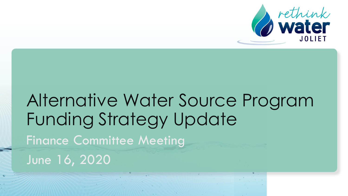

# Alternative Water Source Program Funding Strategy Update Finance Committee Meeting June 16, 2020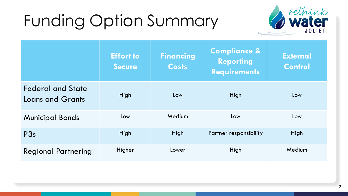# Funding Option Summary



|                                                     | <b>Effort to</b><br><b>Secure</b> | <b>Financing</b><br><b>Costs</b> | <b>Compliance &amp;</b><br><b>Reporting</b><br><b>Requirements</b> | <b>External</b><br><b>Control</b> |
|-----------------------------------------------------|-----------------------------------|----------------------------------|--------------------------------------------------------------------|-----------------------------------|
| <b>Federal and State</b><br><b>Loans and Grants</b> | High                              | Low                              | High                                                               | Low                               |
| <b>Municipal Bonds</b>                              | Low                               | Medium                           | Low                                                                | Low                               |
| P3s                                                 | High                              | High                             | Partner responsibility                                             | High                              |
| <b>Regional Partnering</b>                          | Higher                            | Lower                            | High                                                               | Medium                            |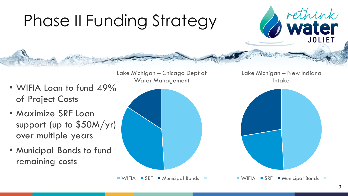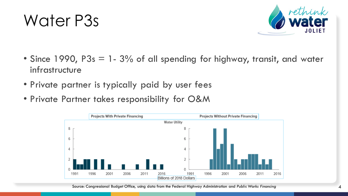### Water P3s



- Since 1990, P3s = 1-3% of all spending for highway, transit, and water infrastructure
- Private partner is typically paid by user fees
- Private Partner takes responsibility for O&M



Source: Congressional Budget Office, using data from the Federal Highway Administration and *Public Works Financing*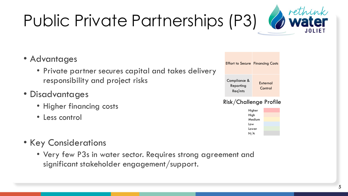# Public Private Partnerships (P3)

### • Advantages

- Private partner secures capital and takes delivery responsibility and project risks
- Disadvantages
	- Higher financing costs
	- Less control
- Key Considerations
	- Very few P3s in water sector. Requires strong agreement and significant stakeholder engagement/support.



#### Risk/Challenge Profile



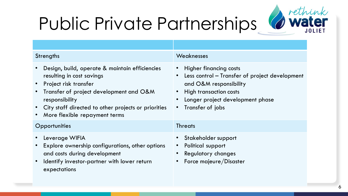# Public Private Partnerships Water



| Strengths                                                                                                                                                                                                                                                     | Weaknesses                                                                                                                                                                                                              |  |  |  |
|---------------------------------------------------------------------------------------------------------------------------------------------------------------------------------------------------------------------------------------------------------------|-------------------------------------------------------------------------------------------------------------------------------------------------------------------------------------------------------------------------|--|--|--|
| Design, build, operate & maintain efficiencies<br>resulting in cost savings<br>• Project risk transfer<br>Transfer of project development and O&M<br>responsibility<br>• City staff directed to other projects or priorities<br>More flexible repayment terms | <b>Higher financing costs</b><br>Less control - Transfer of project development<br>$\bullet$<br>and O&M responsibility<br>High transaction costs<br>• Longer project development phase<br>Transfer of jobs<br>$\bullet$ |  |  |  |
| Opportunities                                                                                                                                                                                                                                                 | <b>Threats</b>                                                                                                                                                                                                          |  |  |  |
| Leverage WIFIA<br>Explore ownership configurations, other options<br>and costs during development<br>Identify investor-partner with lower return<br>expectations                                                                                              | Stakeholder support<br>Political support<br><b>Regulatory changes</b><br>Force majeure/Disaster                                                                                                                         |  |  |  |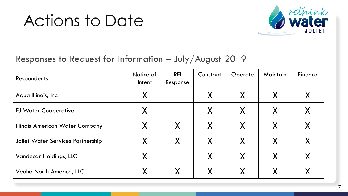## Actions to Date



### Responses to Request for Information – July/August 2019

| Respondents                              | Notice of<br>Intent | <b>RFI</b><br>Response | Construct | Operate  | Maintain | Finance |
|------------------------------------------|---------------------|------------------------|-----------|----------|----------|---------|
| Aqua Illinois, Inc.                      |                     |                        | X         | $\sf X$  | X        |         |
| <b>EJ Water Cooperative</b>              |                     |                        | X         | X        |          |         |
| Illinois American Water Company          |                     | X                      | X         | X        | X        |         |
| <b>Joliet Water Services Partnership</b> | X                   | X                      | X         | X        | X        |         |
| <b>Vandecar Holdings, LLC</b>            | Χ                   |                        | X         | $\sf{X}$ | X        |         |
| <b>Veolia North America, LLC</b>         |                     | X                      | X         | X        |          |         |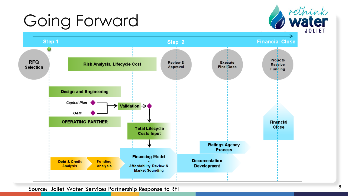# Going Forward





Source: Joliet Water Services Partnership Response to RFI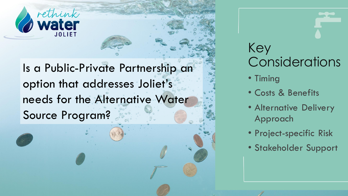

Is a Public-Private Partnership an option that addresses Joliet's needs for the Alternative Water Source Program?



- Timing
- Costs & Benefits
- Alternative Delivery Approach
- Project-specific Risk
- Stakeholder Support